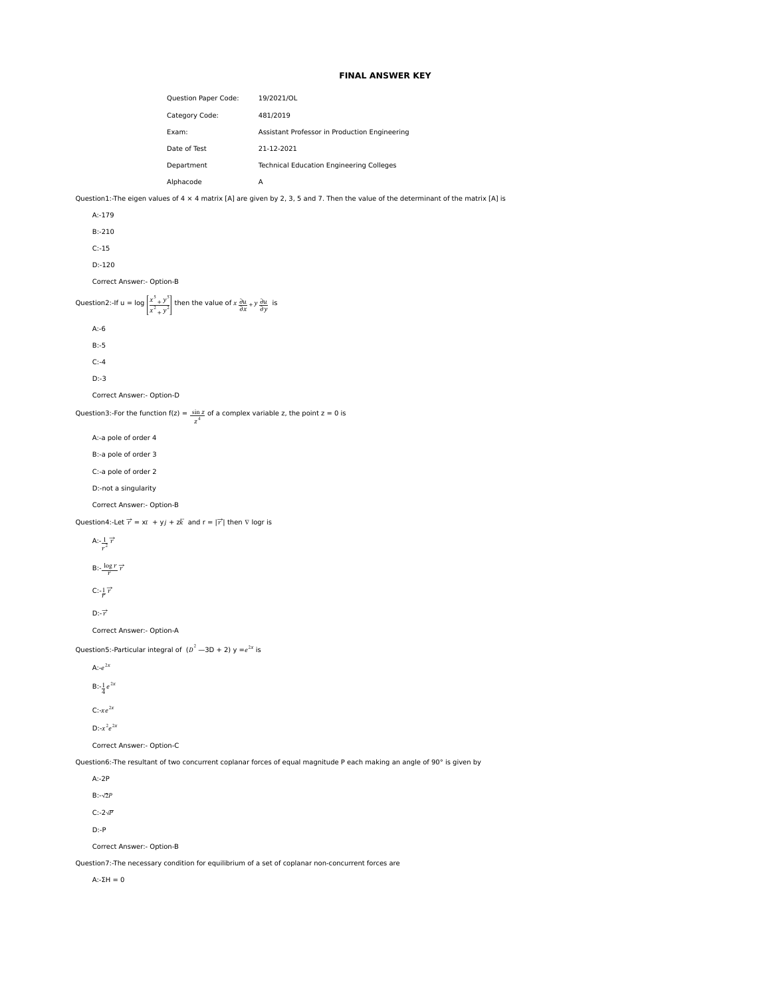## **FINAL ANSWER KEY**

| <b>Question Paper Code:</b> | 19/2021/OL                                      |
|-----------------------------|-------------------------------------------------|
| Category Code:              | 481/2019                                        |
| Exam:                       | Assistant Professor in Production Engineering   |
| Date of Test                | 21-12-2021                                      |
| Department                  | <b>Technical Education Engineering Colleges</b> |
| Alphacode                   | А                                               |

Question1:-The eigen values of 4  $\times$  4 matrix [A] are given by 2, 3, 5 and 7. Then the value of the determinant of the matrix [A] is

 A:-179 B:-210 C:-15 D:-120 Correct Answer:- Option-B Question2:-If u = log  $\frac{x^5 + y^5}{x^2}$  $\left| \frac{x^2 + y^2}{x^2 + y^2} \right|$  then the value of  $x \frac{\partial u}{\partial x} + y \frac{\partial u}{\partial y}$  is A:-6 B:-5 C:-4 D:-3 Correct Answer:- Option-D Question3:-For the function  $f(z) = \frac{\sin z}{z^4}$  of a complex variable z, the point  $z = 0$  is A:-a pole of order 4 B:-a pole of order 3 C:-a pole of order 2 D:-not a singularity Correct Answer:- Option-B Question4:-Let  $\vec{r} = x\vec{i} + y\vec{j} + z\vec{k}$  and  $\vec{r} = |\vec{r}|$  then  $\nabla$  logr is A: $-\frac{1}{r^2}\overrightarrow{r}$ B: $-\frac{\log r}{r}$  $\overrightarrow{r}$  $C: -\frac{1}{r} \overrightarrow{r}$  $D:-\overrightarrow{r}$  Correct Answer:- Option-A Question5:-Particular integral of  $(D^2-3D+2)$  y = $e^{2x}$  is A: $-e^{2x}$ B:- $\frac{1}{4}e^{2x}$  $C:-xe^{2x}$  $D: -x^2 e^{2x}$  Correct Answer:- Option-C Question6:-The resultant of two concurrent coplanar forces of equal magnitude P each making an angle of 90° is given by A:-2P  $B$ :-√2 $P$  C:-2√ D:-P Correct Answer:- Option-B Question7:-The necessary condition for equilibrium of a set of coplanar non-concurrent forces are

A:-ΣH = 0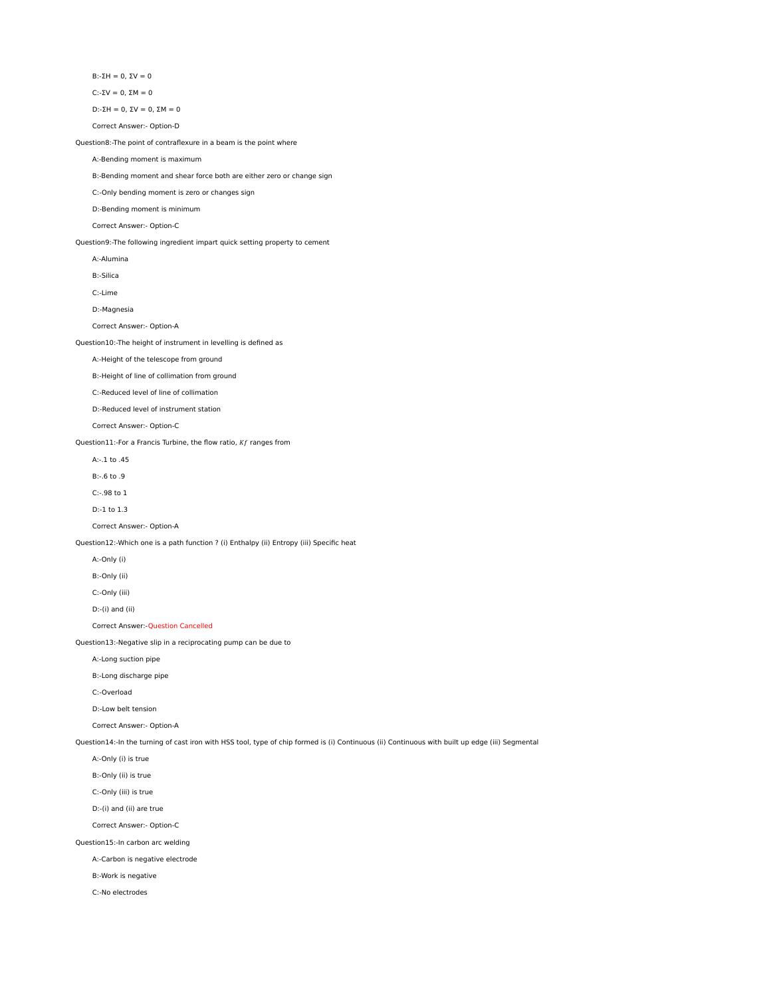B:-ΣH = 0, ΣV = 0

C:-ΣV = 0, ΣM = 0

D:-ΣH = 0, ΣV = 0, ΣM = 0

Correct Answer:- Option-D

Question8:-The point of contraflexure in a beam is the point where

A:-Bending moment is maximum

B:-Bending moment and shear force both are either zero or change sign

C:-Only bending moment is zero or changes sign

D:-Bending moment is minimum

Correct Answer:- Option-C

Question9:-The following ingredient impart quick setting property to cement

A:-Alumina

B:-Silica

C:-Lime

D:-Magnesia

Correct Answer:- Option-A

Question10:-The height of instrument in levelling is defined as

A:-Height of the telescope from ground

B:-Height of line of collimation from ground

C:-Reduced level of line of collimation

D:-Reduced level of instrument station

Correct Answer:- Option-C

Question11:-For a Francis Turbine, the flow ratio,  $Kf$  ranges from

A:-.1 to .45

B:-.6 to .9

C:-.98 to 1

D:-1 to 1.3

Correct Answer:- Option-A

Question12:-Which one is a path function ? (i) Enthalpy (ii) Entropy (iii) Specific heat

A:-Only (i)

B:-Only (ii)

C:-Only (iii)

D:-(i) and (ii)

Correct Answer:-Question Cancelled

Question13:-Negative slip in a reciprocating pump can be due to

## A:-Long suction pipe

B:-Long discharge pipe

C:-Overload

D:-Low belt tension

Correct Answer:- Option-A

Question14:-In the turning of cast iron with HSS tool, type of chip formed is (i) Continuous (ii) Continuous with built up edge (iii) Segmental

A:-Only (i) is true

B:-Only (ii) is true

C:-Only (iii) is true

D:-(i) and (ii) are true

Correct Answer:- Option-C

Question15:-In carbon arc welding

A:-Carbon is negative electrode

B:-Work is negative

C:-No electrodes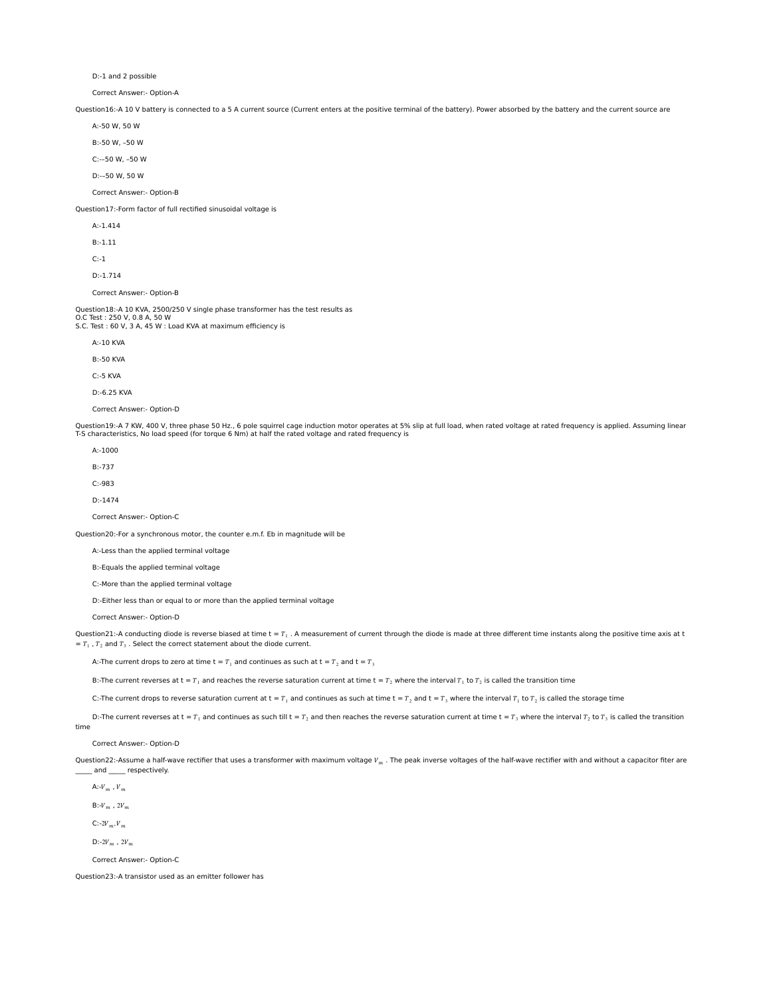D:-1 and 2 possible

Correct Answer:- Option-A

Question16:-A 10 V battery is connected to a 5 A current source (Current enters at the positive terminal of the battery). Power absorbed by the battery and the current source are

A:-50 W, 50 W

B:-50 W, –50 W

C:-–50 W, –50 W

D:-–50 W, 50 W

Correct Answer:- Option-B

Question17:-Form factor of full rectified sinusoidal voltage is

A:-1.414

B:-1.11

 $C:=1$ 

D:-1.714

Correct Answer:- Option-B

Question18:-A 10 KVA, 2500/250 V single phase transformer has the test results as

O.C Test : 250 V, 0.8 A, 50 W S.C. Test : 60 V, 3 A, 45 W : Load KVA at maximum efficiency is

A:-10 KVA

B:-50 KVA

C:-5 KVA

D:-6.25 KVA

Correct Answer:- Option-D

Question19:-A 7 KW, 400 V, three phase 50 Hz., 6 pole squirrel cage induction motor operates at 5% slip at full load, when rated voltage at rated frequency is applied. Assuming linear<br>T-S characteristics, No load speed (fo

A:-1000

B:-737

 $C - Q$ 83

D:-1474

Correct Answer:- Option-C

Question20:-For a synchronous motor, the counter e.m.f. Eb in magnitude will be

A:-Less than the applied terminal voltage

B:-Equals the applied terminal voltage

C:-More than the applied terminal voltage

D:-Either less than or equal to or more than the applied terminal voltage

Correct Answer:- Option-D

Question21:-A conducting diode is reverse biased at time t =  $T_1$ . A measurement of current through the diode is made at three different time instants along the positive time axis at t  $= T_1$ ,  $T_2$  and  $T_3$ . Select the correct statement about the diode current.

A:-The current drops to zero at time  $t = T_1$  and continues as such at  $t = T_2$  and  $t = T_3$ 

B:-The current reverses at t =  $T_1$  and reaches the reverse saturation current at time t =  $T_2$  where the interval  $T_1$  to  $T_2$  is called the transition time

C:-The current drops to reverse saturation current at t =  $T_1$  and continues as such at time t =  $T_2$  and t =  $T_3$  where the interval  $T_1$  to  $T_2$  is called the storage time

D:-The current reverses at t =  $T_1$  and continues as such till t =  $T_2$  and then reaches the reverse saturation current at time t =  $T_3$  where the interval  $T_2$  to  $T_3$  is called the transition time

Correct Answer:- Option-D

Question22:-Assume a half-wave rectifier that uses a transformer with maximum voltage  $V_m$ . The peak inverse voltages of the half-wave rectifier with and without a capacitor fiter are  $\frac{1}{\sqrt{2}}$  and  $\frac{1}{\sqrt{2}}$  respect respectively.

A:- $V_m$ ,  $V_m$ 

 $B:-V_m$ ,  $2V_m$ 

 $C: -2V_m, V_m$ 

 $D:-2V_{m}$ ,  $2V_{m}$ 

Correct Answer:- Option-C

Question23:-A transistor used as an emitter follower has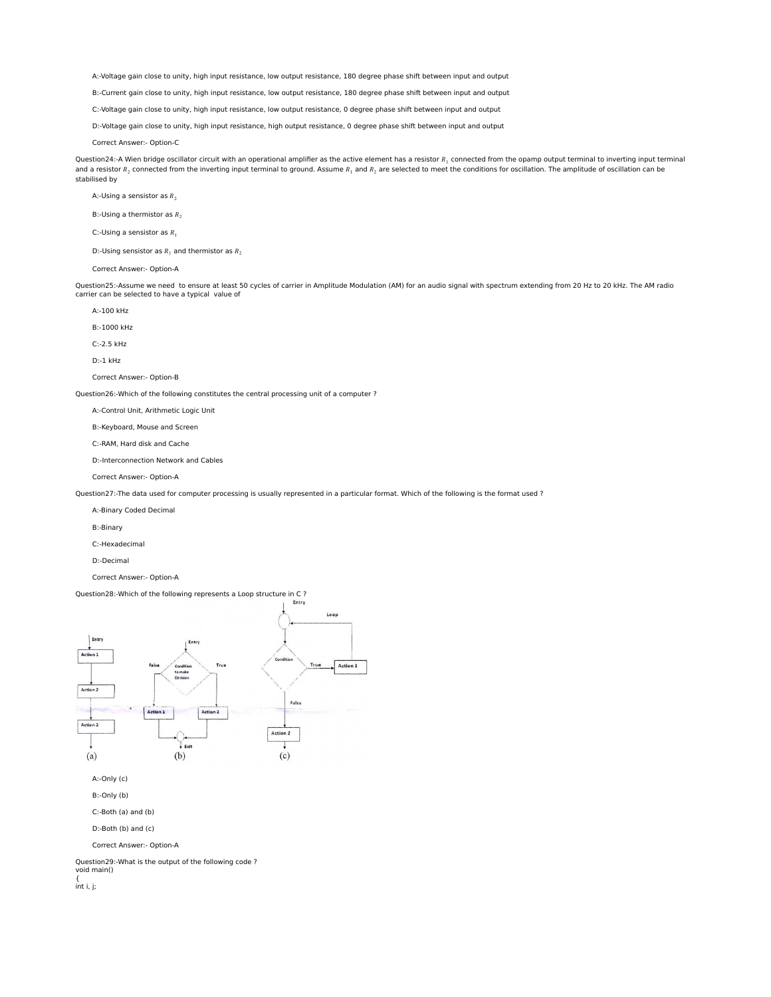A:-Voltage gain close to unity, high input resistance, low output resistance, 180 degree phase shift between input and output

B:-Current gain close to unity, high input resistance, low output resistance, 180 degree phase shift between input and output

C:-Voltage gain close to unity, high input resistance, low output resistance, 0 degree phase shift between input and output

D:-Voltage gain close to unity, high input resistance, high output resistance, 0 degree phase shift between input and output

Correct Answer:- Option-C

Question24:-A Wien bridge oscillator circuit with an operational amplifier as the active element has a resistor  $R_1$  connected from the opamp output terminal to inverting input terminal and a resistor  $R_2$  connected from the inverting input terminal to ground. Assume  $R_1$  and  $R_2$  are selected to meet the conditions for oscillation. The amplitude of oscillation can be stabilised by

A:-Using a sensistor as  $R_2$ 

B:-Using a thermistor as  $R_2$ 

C:-Using a sensistor as  $R_1$ 

D:-Using sensistor as  $R_1$  and thermistor as  $R_2$ 

Correct Answer:- Option-A

Question25:-Assume we need to ensure at least 50 cycles of carrier in Amplitude Modulation (AM) for an audio signal with spectrum extending from 20 Hz to 20 kHz. The AM radio<br>carrier can be selected to have a typical val

A:-100 kHz

B:-1000 kHz

C:-2.5 kHz

D:-1 kHz

Correct Answer:- Option-B

Question26:-Which of the following constitutes the central processing unit of a computer ?

A:-Control Unit, Arithmetic Logic Unit

B:-Keyboard, Mouse and Screen

C:-RAM, Hard disk and Cache

D:-Interconnection Network and Cables

Correct Answer:- Option-A

Question27:-The data used for computer processing is usually represented in a particular format. Which of the following is the format used ?

A:-Binary Coded Decimal

B:-Binary

C:-Hexadecimal

D:-Decimal

Correct Answer:- Option-A

## Question28:-Which of the following represents a Loop structure in C ?



void main() {

int i, j;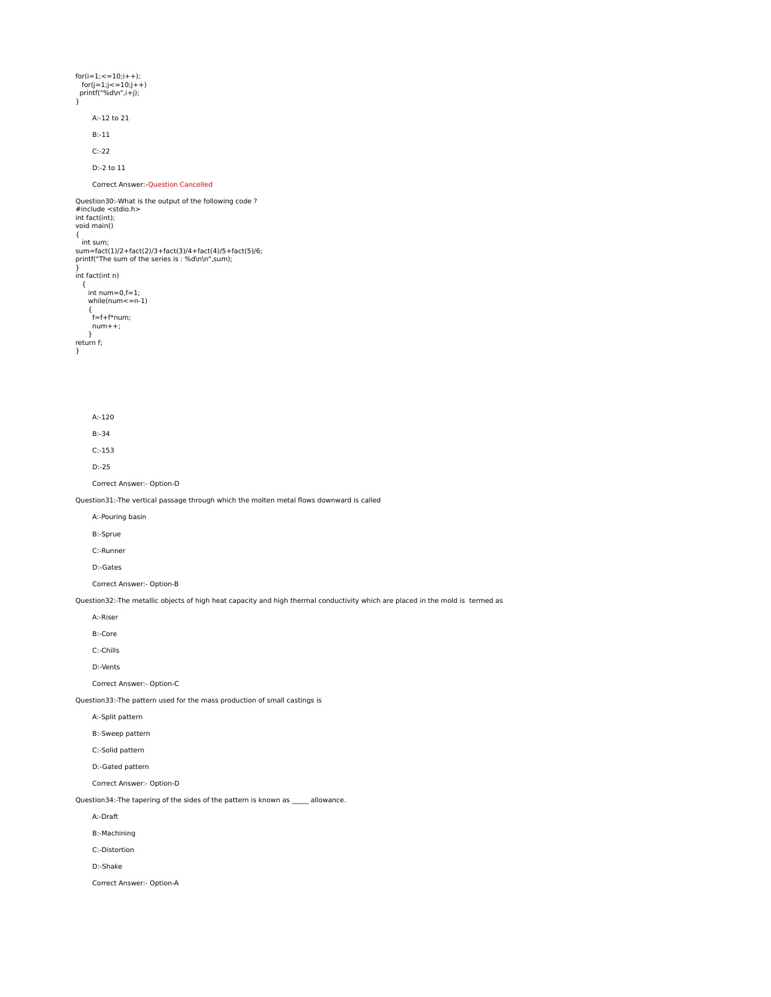$for(i=1;<=10; i++)$ ; for(j=1;j<=10;j++) printf("%d\n",i+j); } A:-12 to 21 B:-11 C:-22 D:-2 to 11 Correct Answer:-Question Cancelled Question30:-What is the output of the following code ? #include <stdio.h> int fact(int); void main() { int sum; sum=fact(1)/2+fact(2)/3+fact(3)/4+fact(4)/5+fact(5)/6; printf("The sum of the series is : %d\n\n",sum); } int fact(int n) { int num=0,f=1; while(num<=n-1) { f=f+f\*num;  $num++;$  } return f; } A:-120 B:-34 C:-153 D:-25 Correct Answer:- Option-D Question31:-The vertical passage through which the molten metal flows downward is called A:-Pouring basin B:-Sprue C:-Runner D:-Gates Correct Answer:- Option-B Question32:-The metallic objects of high heat capacity and high thermal conductivity which are placed in the mold is termed as A:-Riser B:-Core C:-Chills D:-Vents Correct Answer:- Option-C Question33:-The pattern used for the mass production of small castings is A:-Split pattern B:-Sweep pattern C:-Solid pattern D:-Gated pattern Correct Answer:- Option-D Question34:-The tapering of the sides of the pattern is known as \_\_\_\_\_ allowance. A:-Draft B:-Machining C:-Distortion D:-Shake Correct Answer:- Option-A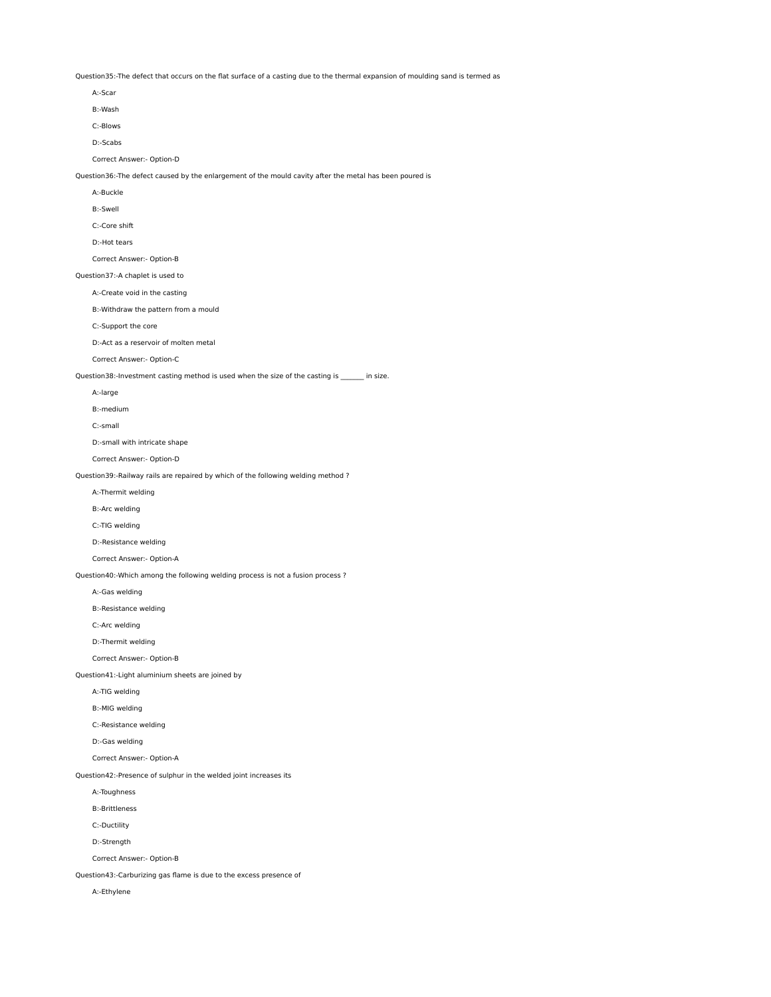Question35:-The defect that occurs on the flat surface of a casting due to the thermal expansion of moulding sand is termed as

| A:-Scar                                                                                                 |
|---------------------------------------------------------------------------------------------------------|
| B:-Wash                                                                                                 |
| C:-Blows                                                                                                |
| D:-Scabs                                                                                                |
| Correct Answer:- Option-D                                                                               |
| Question36:-The defect caused by the enlargement of the mould cavity after the metal has been poured is |
| A:-Buckle                                                                                               |
| <b>B:-Swell</b>                                                                                         |
| C:-Core shift                                                                                           |
| D:-Hot tears                                                                                            |
| Correct Answer:- Option-B                                                                               |
| Question37:-A chaplet is used to                                                                        |
| A:-Create void in the casting                                                                           |
| B:-Withdraw the pattern from a mould                                                                    |
| C:-Support the core                                                                                     |
| D:-Act as a reservoir of molten metal                                                                   |
| Correct Answer:- Option-C                                                                               |
| Question38:-Investment casting method is used when the size of the casting is ______ in size.           |
| A:-large                                                                                                |
| B:-medium                                                                                               |
| C:-small                                                                                                |
| D:-small with intricate shape                                                                           |
| Correct Answer:- Option-D                                                                               |
| Question39:-Railway rails are repaired by which of the following welding method ?                       |
| A:-Thermit welding                                                                                      |
| B:-Arc welding                                                                                          |
| C:-TIG welding                                                                                          |
| D:-Resistance welding                                                                                   |
| Correct Answer:- Option-A                                                                               |
| Question40:-Which among the following welding process is not a fusion process?                          |
| A:-Gas welding                                                                                          |
| B:-Resistance welding                                                                                   |
| C:-Arc welding                                                                                          |
| D:-Thermit welding                                                                                      |
| Correct Answer:- Option-B                                                                               |
| Question41:-Light aluminium sheets are joined by                                                        |
| A:-TIG welding                                                                                          |
| B:-MIG welding                                                                                          |
| C:-Resistance welding                                                                                   |
| D:-Gas welding                                                                                          |

Correct Answer:- Option-A

Question42:-Presence of sulphur in the welded joint increases its

A:-Toughness

B:-Brittleness

C:-Ductility

D:-Strength

Correct Answer:- Option-B

Question43:-Carburizing gas flame is due to the excess presence of

A:-Ethylene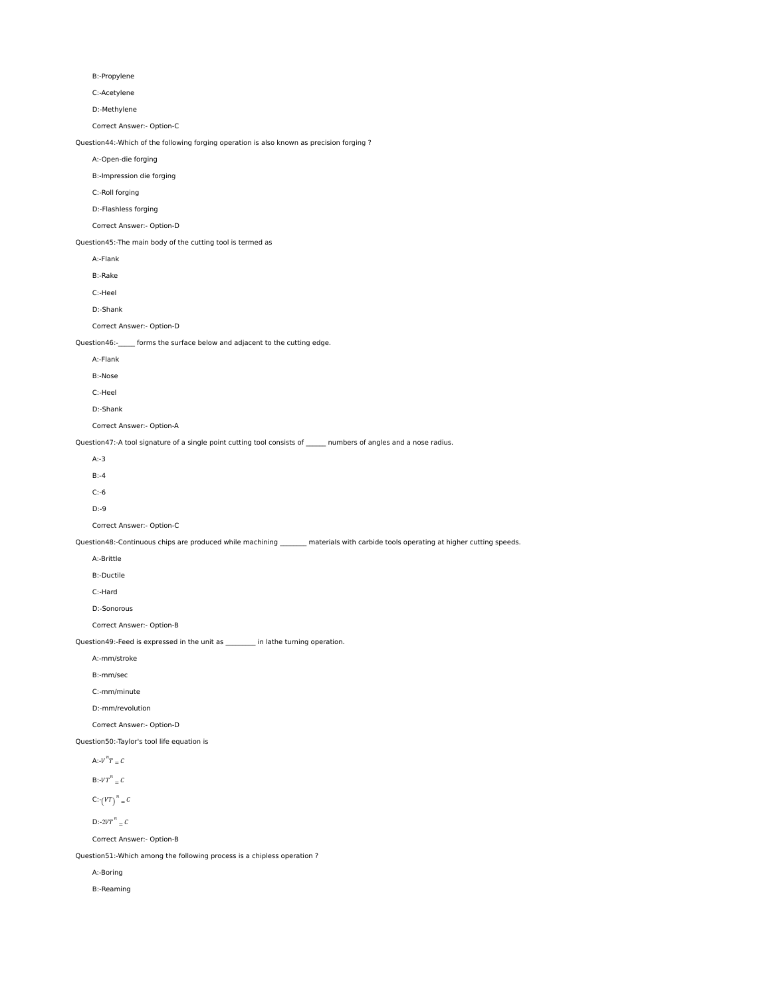B:-Propylene C:-Acetylene D:-Methylene Correct Answer:- Option-C Question44:-Which of the following forging operation is also known as precision forging ? A:-Open-die forging B:-Impression die forging C:-Roll forging D:-Flashless forging Correct Answer:- Option-D Question45:-The main body of the cutting tool is termed as A:-Flank B:-Rake C:-Heel D:-Shank Correct Answer:- Option-D Question46:-\_\_\_\_\_ forms the surface below and adjacent to the cutting edge. A:-Flank B:-Nose C:-Heel D:-Shank Correct Answer:- Option-A Question47:-A tool signature of a single point cutting tool consists of \_\_\_\_\_ numbers of angles and a nose radius. A:-3 B:-4 C:-6 D:-9 Correct Answer:- Option-C Question48:-Continuous chips are produced while machining \_\_\_\_\_\_\_\_ materials with carbide tools operating at higher cutting speeds. A:-Brittle B:-Ductile C:-Hard D:-Sonorous Correct Answer:- Option-B Question49:-Feed is expressed in the unit as \_\_\_\_\_\_\_\_\_ in lathe turning operation. A:-mm/stroke B:-mm/sec C:-mm/minute D:-mm/revolution Correct Answer:- Option-D Question50:-Taylor's tool life equation is A:- $V^{n}T = C$  $B$ :- $VT^n = C$  $C:-(VT)^n = C$  $D$ :-2 $VT^n = C$ Correct Answer:- Option-B

Question51:-Which among the following process is a chipless operation ?

A:-Boring

B:-Reaming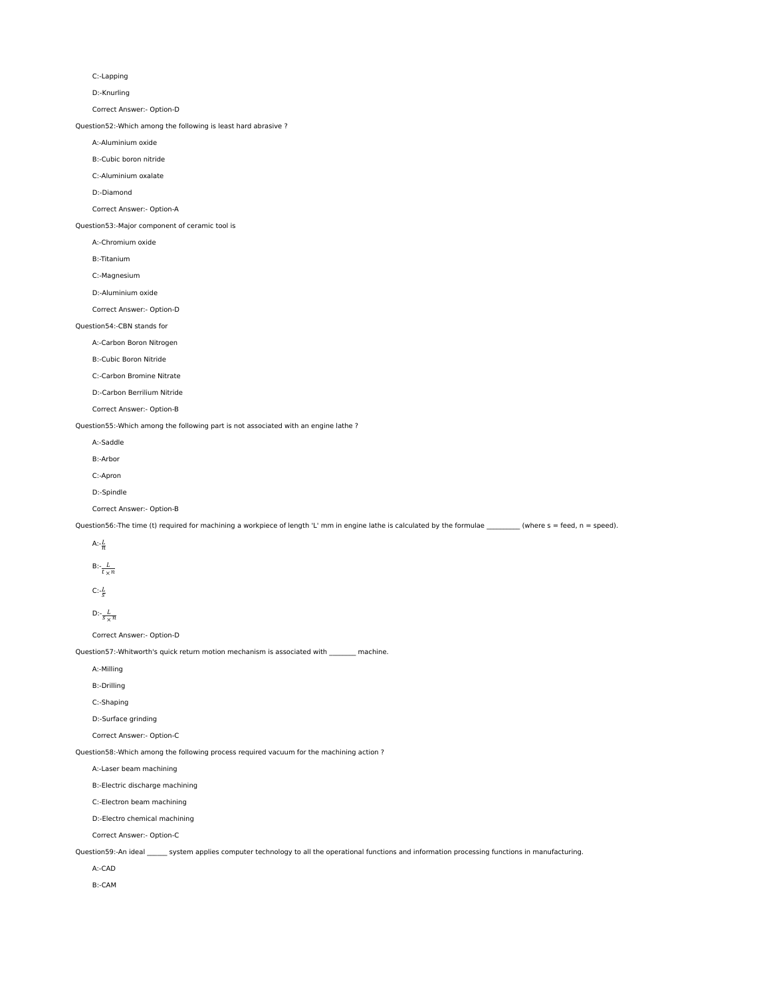C:-Lapping

D:-Knurling

Correct Answer:- Option-D

Question52:-Which among the following is least hard abrasive ?

A:-Aluminium oxide

B:-Cubic boron nitride

C:-Aluminium oxalate

D:-Diamond

Correct Answer:- Option-A

Question53:-Major component of ceramic tool is

A:-Chromium oxide

B:-Titanium

C:-Magnesium

D:-Aluminium oxide

Correct Answer:- Option-D

## Question54:-CBN stands for

A:-Carbon Boron Nitrogen

B:-Cubic Boron Nitride

C:-Carbon Bromine Nitrate

D:-Carbon Berrilium Nitride

Correct Answer:- Option-B

Question55:-Which among the following part is not associated with an engine lathe ?

 A:-Saddle B:-Arbor C:-Apron

D:-Spindle

Correct Answer:- Option-B

Question56:-The time (t) required for machining a workpiece of length 'L' mm in engine lathe is calculated by the formulae \_\_\_\_\_\_\_\_\_\_ (where s = feed, n = speed).

A: $-\frac{L}{n}$ 

$$
B: -\frac{L}{t \times n}
$$

 $C: -\frac{L}{S}$ 

D:-
$$
\frac{L}{s \times n}
$$

Correct Answer:- Option-D

Question57:-Whitworth's quick return motion mechanism is associated with \_\_\_\_\_\_\_ machine.

A:-Milling

B:-Drilling

C:-Shaping

D:-Surface grinding

Correct Answer:- Option-C

Question58:-Which among the following process required vacuum for the machining action ?

A:-Laser beam machining

B:-Electric discharge machining

C:-Electron beam machining

D:-Electro chemical machining

Correct Answer:- Option-C

Question59:-An ideal \_\_\_\_\_\_ system applies computer technology to all the operational functions and information processing functions in manufacturing.

A:-CAD

B:-CAM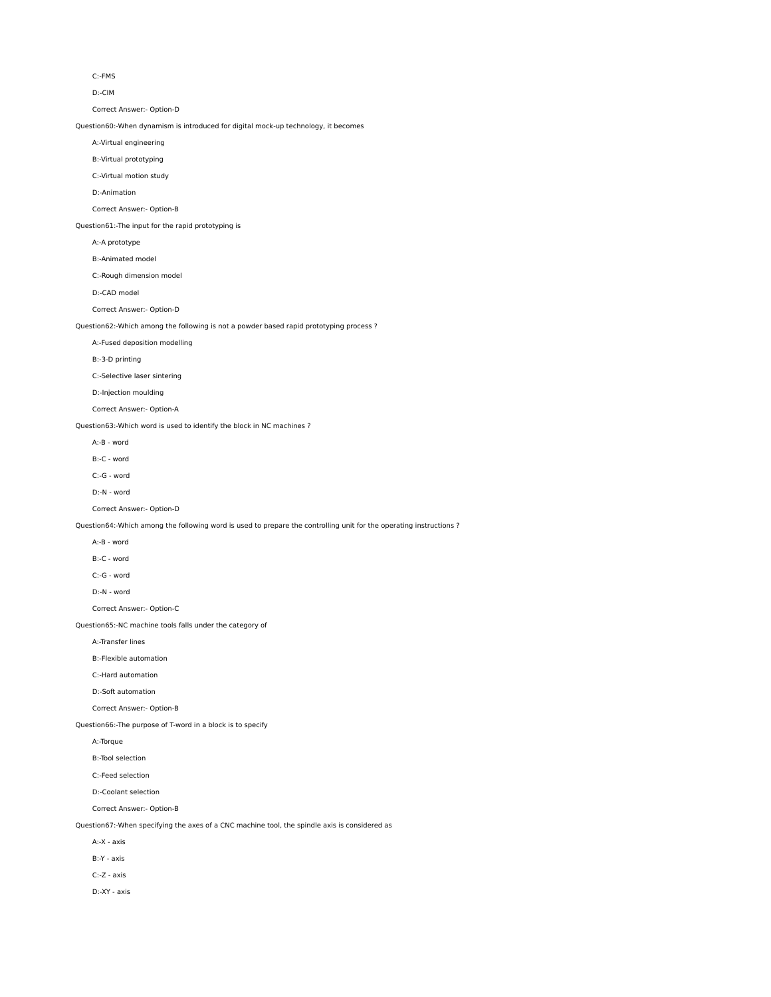C:-FMS

D:-CIM

Correct Answer:- Option-D

Question60:-When dynamism is introduced for digital mock-up technology, it becomes

A:-Virtual engineering

B:-Virtual prototyping

C:-Virtual motion study

D:-Animation

Correct Answer:- Option-B

Question61:-The input for the rapid prototyping is

A:-A prototype

B:-Animated model

C:-Rough dimension model

D:-CAD model

Correct Answer:- Option-D

Question62:-Which among the following is not a powder based rapid prototyping process ?

A:-Fused deposition modelling

B:-3-D printing

C:-Selective laser sintering

D:-Injection moulding

Correct Answer:- Option-A

Question63:-Which word is used to identify the block in NC machines ?

A:-B - word

B:-C - word

C:-G - word

D:-N - word

Correct Answer:- Option-D

Question64:-Which among the following word is used to prepare the controlling unit for the operating instructions ?

A:-B - word

B:-C - word

C:-G - word

D:-N - word

Correct Answer:- Option-C

Question65:-NC machine tools falls under the category of

A:-Transfer lines

B:-Flexible automation

C:-Hard automation

D:-Soft automation

Correct Answer:- Option-B

Question66:-The purpose of T-word in a block is to specify

A:-Torque

B:-Tool selection

C:-Feed selection

D:-Coolant selection

Correct Answer:- Option-B

Question67:-When specifying the axes of a CNC machine tool, the spindle axis is considered as

A:-X - axis

B:-Y - axis

C:-Z - axis

D:-XY - axis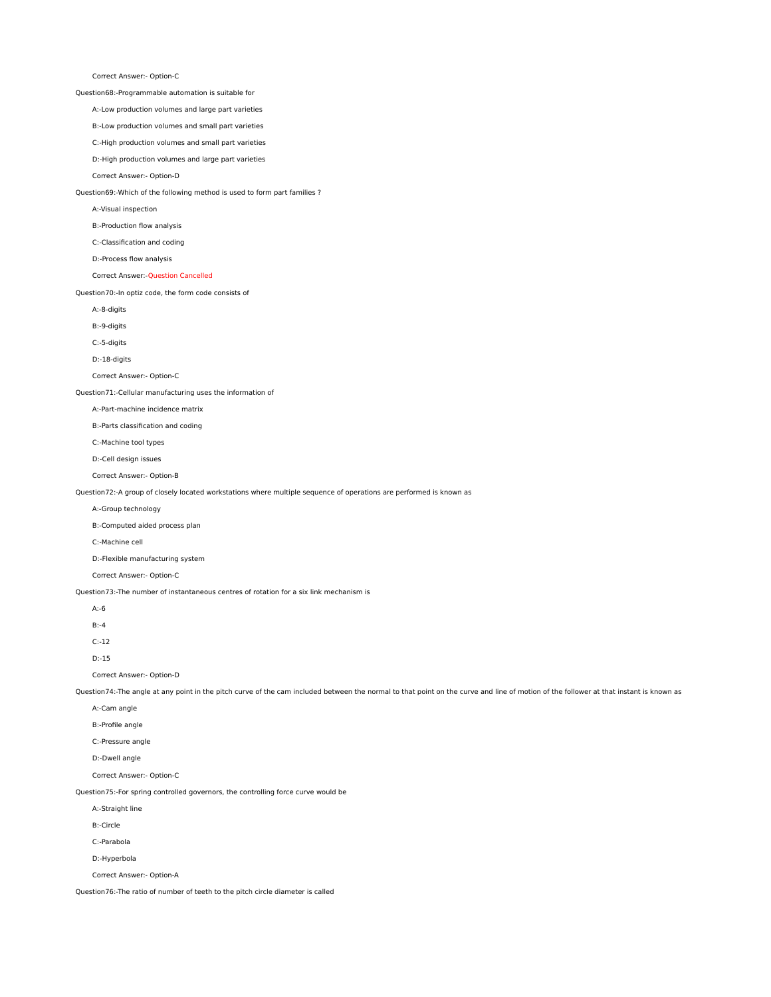Correct Answer:- Option-C

Question68:-Programmable automation is suitable for

A:-Low production volumes and large part varieties

B:-Low production volumes and small part varieties

C:-High production volumes and small part varieties

D:-High production volumes and large part varieties

Correct Answer:- Option-D

Question69:-Which of the following method is used to form part families ?

A:-Visual inspection

B:-Production flow analysis

C:-Classification and coding

D:-Process flow analysis

Correct Answer:-Question Cancelled

Question70:-In optiz code, the form code consists of

A:-8-digits

B:-9-digits

C:-5-digits

D:-18-digits

Correct Answer:- Option-C

Question71:-Cellular manufacturing uses the information of

A:-Part-machine incidence matrix

B:-Parts classification and coding

C:-Machine tool types

D:-Cell design issues

Correct Answer:- Option-B

Question72:-A group of closely located workstations where multiple sequence of operations are performed is known as

A:-Group technology

B:-Computed aided process plan

C:-Machine cell

D:-Flexible manufacturing system

Correct Answer:- Option-C

Question73:-The number of instantaneous centres of rotation for a six link mechanism is

A:-6

B:-4

C:-12

D:-15

Correct Answer:- Option-D

Question74:-The angle at any point in the pitch curve of the cam included between the normal to that point on the curve and line of motion of the follower at that instant is known as

A:-Cam angle

B:-Profile angle

C:-Pressure angle

D:-Dwell angle

Correct Answer:- Option-C

Question75:-For spring controlled governors, the controlling force curve would be

A:-Straight line

B:-Circle

C:-Parabola

D:-Hyperbola

Correct Answer:- Option-A

Question76:-The ratio of number of teeth to the pitch circle diameter is called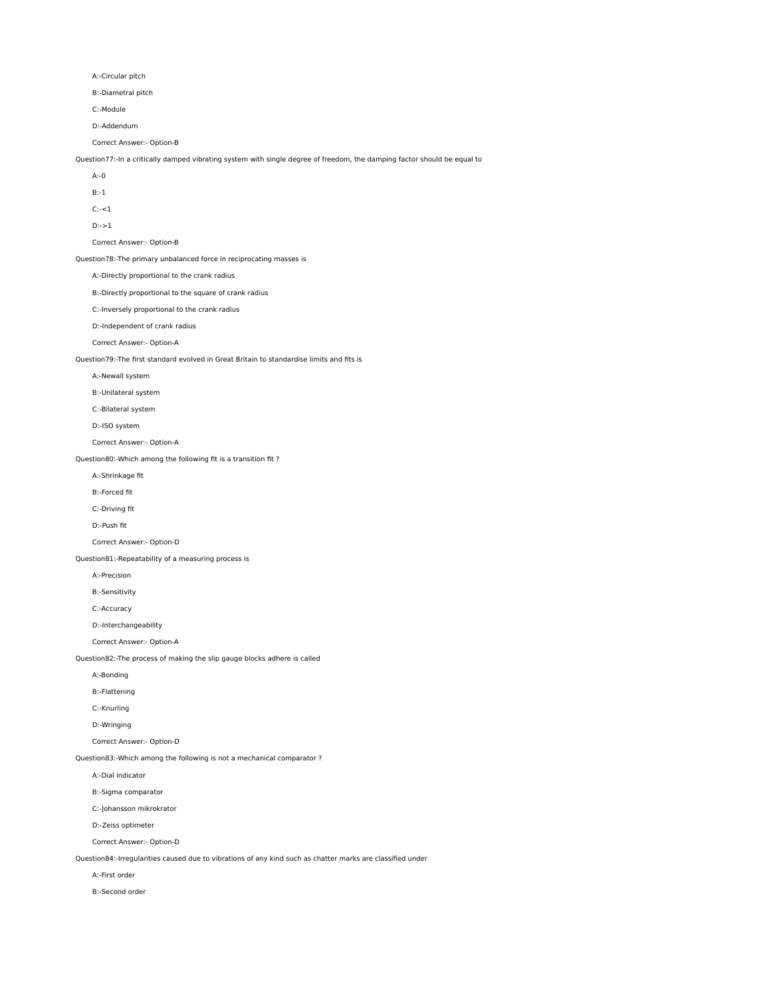A:-Circular pitch

B:-Diametral pitch

C:-Module

D:-Addendum

Correct Answer:- Option-B

Question77:-In a critically damped vibrating system with single degree of freedom, the damping factor should be equal to

A:-0

B:-1

 $C:-<1$ 

D:->1

Correct Answer:- Option-B

Question78:-The primary unbalanced force in reciprocating masses is

A:-Directly proportional to the crank radius

B:-Directly proportional to the square of crank radius

C:-Inversely proportional to the crank radius

D:-Independent of crank radius

Correct Answer:- Option-A

Question79:-The first standard evolved in Great Britain to standardise limits and fits is

A:-Newall system

B:-Unilateral system

C:-Bilateral system

D:-ISO system

Correct Answer:- Option-A

Question80:-Which among the following fit is a transition fit ?

A:-Shrinkage fit

B:-Forced fit

C:-Driving fit

D:-Push fit

Correct Answer:- Option-D

Question81:-Repeatability of a measuring process is

A:-Precision

B:-Sensitivity

C:-Accuracy

D:-Interchangeability

Correct Answer:- Option-A

Question82:-The process of making the slip gauge blocks adhere is called

A:-Bonding

B:-Flattening

C:-Knurling

D:-Wringing

Correct Answer:- Option-D

Question83:-Which among the following is not a mechanical comparator ?

A:-Dial indicator

B:-Sigma comparator

C:-Johansson mikrokrator

D:-Zeiss optimeter

Correct Answer:- Option-D

Question84:-Irregularities caused due to vibrations of any kind such as chatter marks are classified under

A:-First order

B:-Second order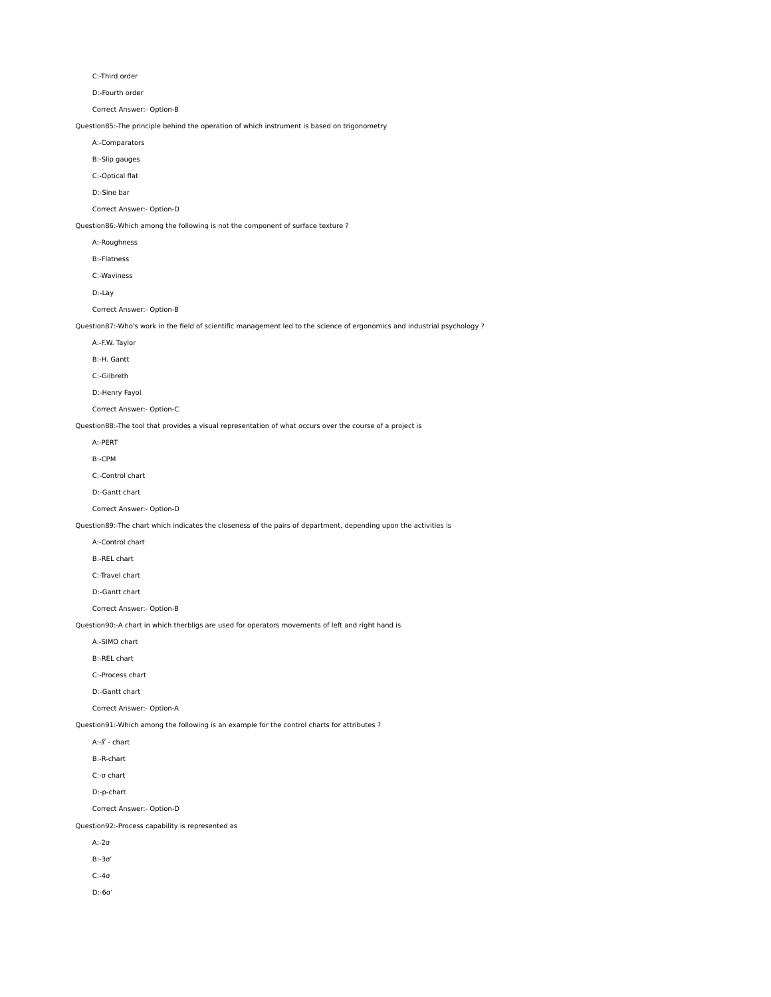C:-Third order

D:-Fourth order

Correct Answer:- Option-B

Question85:-The principle behind the operation of which instrument is based on trigonometry

A:-Comparators

B:-Slip gauges

C:-Optical flat

D:-Sine bar

Correct Answer:- Option-D

Question86:-Which among the following is not the component of surface texture ?

A:-Roughness

B:-Flatness

C:-Waviness

D:-Lay

Correct Answer:- Option-B

Question87:-Who's work in the field of scientific management led to the science of ergonomics and industrial psychology ?

A:-F.W. Taylor

B:-H. Gantt

C:-Gilbreth

D:-Henry Fayol

Correct Answer:- Option-C

Question88:-The tool that provides a visual representation of what occurs over the course of a project is

A:-PERT

B:-CPM

C:-Control chart

D:-Gantt chart

Correct Answer:- Option-D

Question89:-The chart which indicates the closeness of the pairs of department, depending upon the activities is

A:-Control chart

B:-REL chart

C:-Travel chart

D:-Gantt chart

Correct Answer:- Option-B

Question90:-A chart in which therbligs are used for operators movements of left and right hand is

A:-SIMO chart

B:-REL chart

C:-Process chart

D:-Gantt chart

Correct Answer:- Option-A

Question91:-Which among the following is an example for the control charts for attributes ?

A:- $\bar{X}$  - chart

B:-R-chart

C:-σ chart

D:-p-chart

Correct Answer:- Option-D

Question92:-Process capability is represented as

A:-2σ

B:-3σ'

C:-4σ

D:-6σ'